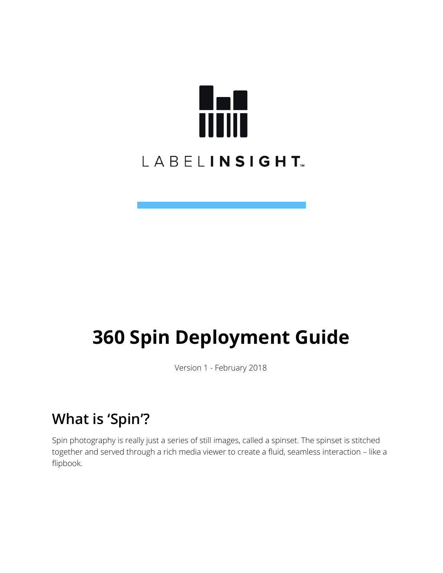

# **360 Spin Deployment Guide**

Version 1 - February 2018

## **What is 'Spin'?**

Spin photography is really just a series of still images, called a spinset. The spinset is stitched together and served through a rich media viewer to create a fluid, seamless interaction – like a flipbook.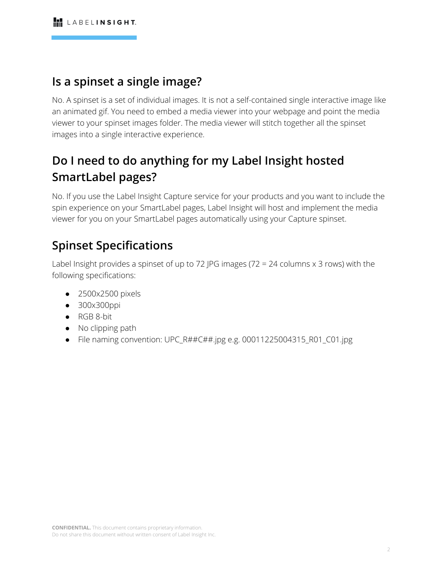### **Is a spinset a single image?**

No. A spinset is a set of individual images. It is not a self-contained single interactive image like an animated gif. You need to embed a media viewer into your webpage and point the media viewer to your spinset images folder. The media viewer will stitch together all the spinset images into a single interactive experience.

### **Do I need to do anything for my Label Insight hosted SmartLabel pages?**

No. If you use the Label Insight Capture service for your products and you want to include the spin experience on your SmartLabel pages, Label Insight will host and implement the media viewer for you on your SmartLabel pages automatically using your Capture spinset.

### **Spinset Specifications**

Label Insight provides a spinset of up to 72 JPG images (72 = 24 columns  $\times$  3 rows) with the following specifications:

- 2500x2500 pixels
- 300x300ppi
- RGB 8-bit
- No clipping path
- File naming convention: UPC\_R##C##.jpg e.g. 00011225004315\_R01\_C01.jpg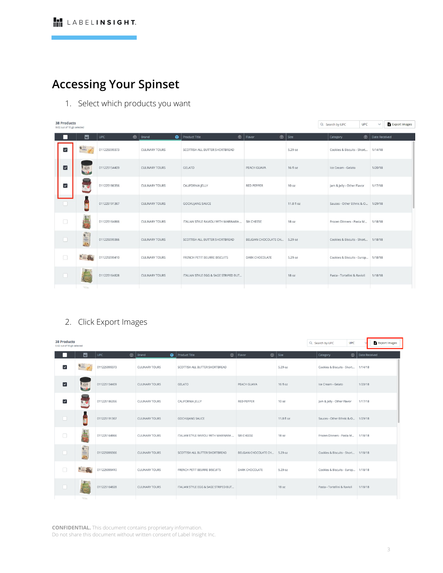### **Accessing Your Spinset**

1. Select which products you want

| <b>38 Products</b><br>0.02 out of 10 gb selected |                          |              |                               |                                      |                                |                  | Q Search by UPC                    | <b>UPC</b><br>$\checkmark$ | <b>Export Images</b> |
|--------------------------------------------------|--------------------------|--------------|-------------------------------|--------------------------------------|--------------------------------|------------------|------------------------------------|----------------------------|----------------------|
|                                                  | 圖                        | UPC          | $\bigcirc$ Brand<br>$\bullet$ | $\odot$<br>Product Title             | $\circledcirc$<br>Flavor       | Size             | Category                           | Date Received              |                      |
| $\overline{\phantom{a}}$                         | $\bullet \equiv \bullet$ | 011225099373 | <b>CULINARY TOURS</b>         | SCOTTISH ALL BUTTER SHORTBREAD       |                                | 5.29 oz          | Cookies & Biscuits - Short         | 1/14/18                    |                      |
| $\vert \textbf{v} \vert$                         | SELETO<br><b>Side</b>    | 011225154409 | <b>CULINARY TOURS</b>         | <b>GELATO</b>                        | PEACH GUAVA                    | $16f$ loz        | Ice Cream - Gelato                 | 1/20/18                    |                      |
| $\overline{\mathsf{v}}$                          |                          | 011225186356 | <b>CULINARY TOURS</b>         | CALIFORNIA JELLY                     | RED PEPPER                     | 10 <sub>oz</sub> | Jam & Jelly - Other Flavor         | 1/17/18                    |                      |
|                                                  | ä                        | 011225191367 | <b>CULINARY TOURS</b>         | <b>GOCHUJANG SAUCE</b>               |                                | 11.8 fl oz       | Sauces - Other Ethnic & O          | 1/29/18                    |                      |
| $\Box$                                           | 相談                       | 011225164866 | <b>CULINARY TOURS</b>         | ITALIAN STYLE RAVIOLI WITH MARINARA  | SIX CHEESE                     | 18 oz            | Frozen Dinners - Pasta M           | 1/18/18                    |                      |
| n                                                |                          | 011225099366 | <b>CULINARY TOURS</b>         | SCOTTISH ALL BUTTER SHORTBREAD       | BELGIAN CHOCOLATE CH., 5.29 oz |                  | Cookies & Biscuits - Short 1/18/18 |                            |                      |
| B                                                | $9 - 74$                 | 011225099410 | <b>CULINARY TOURS</b>         | FRENCH PETIT BEURRE BISCUITS         | DARK CHOCOLATE                 | 5.29 oz          | Cookies & Biscuits - Europ 1/18/18 |                            |                      |
|                                                  |                          | 011225164828 | <b>CULINARY TOURS</b>         | ITALIAN STYLE EGG & SAGE STRIPED BUT |                                | 18 oz            | Pasta - Tortellini & Ravioli       | 1/18/18                    |                      |
|                                                  | <b>SHA</b>               |              |                               |                                      |                                |                  |                                    |                            |                      |

#### 2. Click Export Images

| <b>38 Products</b><br><b>UPC</b><br>Q Search by UPC<br>0.02 out of 10 gb selected |                   |              |                               |                                      |                                |                   |                                     | <b>Export Images</b> |
|-----------------------------------------------------------------------------------|-------------------|--------------|-------------------------------|--------------------------------------|--------------------------------|-------------------|-------------------------------------|----------------------|
|                                                                                   | ⊡                 | <b>UPC</b>   | $\bigcirc$ Brand<br>$\bullet$ | $\odot$<br><b>Product Title</b>      | Flavor                         | $\bigcirc$   Size | Category                            | Date Received        |
| $\overline{\mathbf{v}}$                                                           | $\bullet$         | 011225099373 | <b>CULINARY TOURS</b>         | SCOTTISH ALL BUTTER SHORTBREAD       |                                | 5.29 oz           | Cookies & Biscuits - Short          | 1/14/18              |
| $\blacksquare$                                                                    | <b>SELATO</b>     | 011225154409 | <b>CULINARY TOURS</b>         | <b>GELATO</b>                        | PEACH GUAVA                    | $16f$ l oz        | Ice Cream - Gelato                  | 1/20/18              |
| $\blacktriangledown$                                                              |                   | 011225186356 | <b>CULINARY TOURS</b>         | CALIFORNIA JELLY                     | <b>RED PEPPER</b>              | 10 oz             | Jam & Jelly - Other Flavor          | 1/17/18              |
|                                                                                   | ÷                 | 011225191367 | <b>CULINARY TOURS</b>         | <b>GOCHUJANG SAUCE</b>               |                                | 11.8 fl oz        | Sauces - Other Ethnic & O., 1/29/18 |                      |
| $\Box$                                                                            | 0.5<br><b>ABS</b> | 011225164866 | <b>CULINARY TOURS</b>         | ITALIAN STYLE RAVIOLI WITH MARINARA  | SIX CHEESE                     | 18 oz             | Frozen Dinners - Pasta M            | 1/18/18              |
| ш                                                                                 | 19 11             | 011225099366 | <b>CULINARY TOURS</b>         | SCOTTISH ALL BUTTER SHORTBREAD       | BELGIAN CHOCOLATE CH., 5.29 oz |                   | Cookies & Biscuits - Short          | 1/18/18              |
| $\Box$                                                                            | 2 二 男             | 011225099410 | <b>CULINARY TOURS</b>         | FRENCH PETIT BEURRE BISCUITS         | DARK CHOCOLATE                 | 5.29 oz           | Cookies & Biscuits - Europ          | 1/18/18              |
|                                                                                   |                   | 011225164828 | <b>CULINARY TOURS</b>         | ITALIAN STYLE EGG & SAGE STRIPED BUT |                                | 18 oz             | Pasta - Tortellini & Ravioli        | 1/18/18              |
|                                                                                   |                   |              |                               |                                      |                                |                   |                                     |                      |

**CONFIDENTIAL.** This document contains proprietary information. Do not share this document without written consent of Label Insight Inc.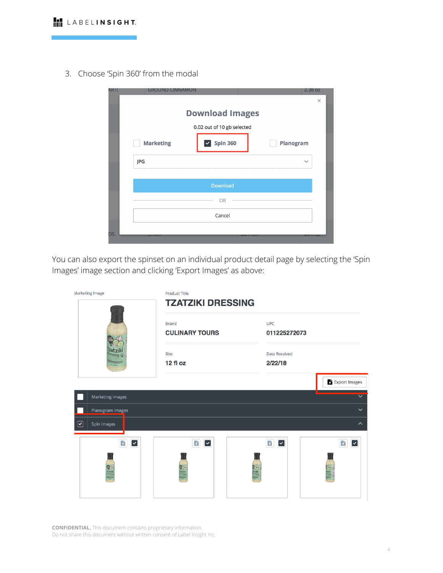3. Choose 'Spin 360' from the modal

| AR I ! | <b>GROUND CINNAMON</b> |                            | 2.38 OZ      |          |
|--------|------------------------|----------------------------|--------------|----------|
|        |                        |                            |              | $\times$ |
|        |                        | <b>Download Images</b>     |              |          |
|        |                        | 0.02 out of 10 gb selected |              |          |
|        | <b>Marketing</b>       | $\triangledown$ Spin 360   | Planogram    |          |
|        | JPG                    |                            | $\checkmark$ |          |
|        |                        |                            |              |          |
|        |                        | Download                   |              |          |
|        |                        | OR                         |              |          |
|        |                        | Cancel                     |              |          |
| OS.    |                        |                            |              |          |
|        |                        |                            |              |          |

You can also export the spinset on an individual product detail page by selecting the 'Spin Images' image section and clicking 'Export Images' as above:

| <b>Marketing Image</b>                          | <b>Product Title</b><br><b>TZATZIKI DRESSING</b> |                                        |                                |  |  |
|-------------------------------------------------|--------------------------------------------------|----------------------------------------|--------------------------------|--|--|
|                                                 | <b>Brand</b><br><b>CULINARY TOURS</b>            | <b>UPC</b><br>011225272073             |                                |  |  |
|                                                 | Size<br>12 fl oz                                 | <b>Date Received</b><br>2/22/18        |                                |  |  |
|                                                 |                                                  |                                        | Export Images                  |  |  |
| <b>Marketing Images</b>                         |                                                  |                                        |                                |  |  |
| Planogram Images                                |                                                  |                                        | $\checkmark$                   |  |  |
| $\boxed{\mathbf{S}}$<br>Spin Images             |                                                  |                                        | $\sim$                         |  |  |
| $\boldsymbol{\epsilon}$<br>$\blacktriangledown$ | B<br>$\vert$ $\vert$                             | $\mathbf{r}_i$<br>$\blacktriangledown$ | G)<br>$\overline{\phantom{a}}$ |  |  |
| Tzatzik                                         |                                                  | itziki<br>" <sup>17</sup>              |                                |  |  |

**CONFIDENTIAL.** This document contains proprietary information. Do not share this document without written consent of Label Insight Inc.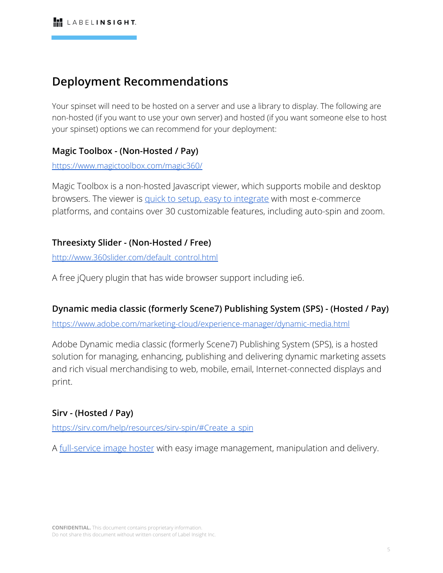### **Deployment Recommendations**

Your spinset will need to be hosted on a server and use a library to display. The following are non-hosted (if you want to use your own server) and hosted (if you want someone else to host your spinset) options we can recommend for your deployment:

### **Magic Toolbox - (Non-Hosted / Pay)**

<https://www.magictoolbox.com/magic360/>

Magic Toolbox is a non-hosted Javascript viewer, which supports mobile and desktop browsers. The viewer is [quick to setup, easy to integrate](https://www.magictoolbox.com/magic360/integration/) with most e-commerce platforms, and contains over 30 customizable features, including auto-spin and zoom.

### **Threesixty Slider - (Non-Hosted / Free)**

[http://www.360slider.com/default\\_control.html](http://www.360slider.com/default_control.html)

A free jQuery plugin that has wide browser support including ie6.

### **Dynamic media classic (formerly Scene7) Publishing System (SPS) - (Hosted / Pay)**

<https://www.adobe.com/marketing-cloud/experience-manager/dynamic-media.html>

Adobe Dynamic media classic (formerly Scene7) Publishing System (SPS), is a hosted solution for managing, enhancing, publishing and delivering dynamic marketing assets and rich visual merchandising to web, mobile, email, Internet-connected displays and print.

### **Sirv - (Hosted / Pay)**

https://sirv.com/help/resources/sirv-spin/#Create a spin

A [full-service image hoster](https://sirv.com/pricing/) with easy image management, manipulation and delivery.